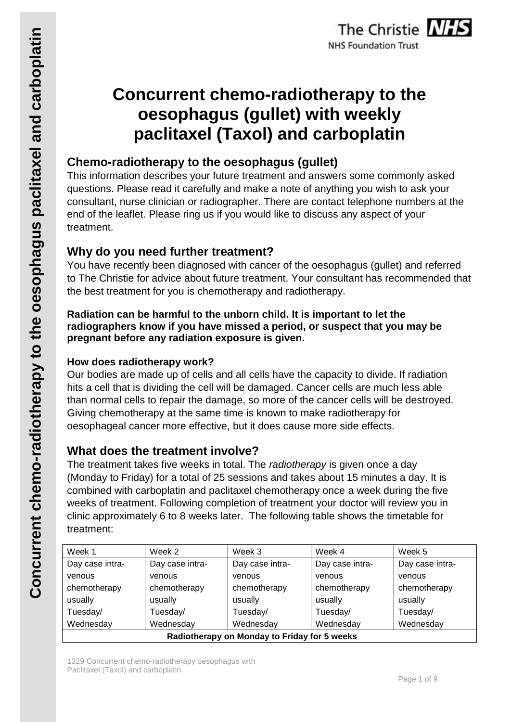# **Concurrent chemo-radiotherapy to the oesophagus (gullet) with weekly paclitaxel (Taxol) and carboplatin**

## **Chemo-radiotherapy to the oesophagus (gullet)**

This information describes your future treatment and answers some commonly asked questions. Please read it carefully and make a note of anything you wish to ask your consultant, nurse clinician or radiographer. There are contact telephone numbers at the end of the leaflet. Please ring us if you would like to discuss any aspect of your treatment.

## **Why do you need further treatment?**

You have recently been diagnosed with cancer of the oesophagus (gullet) and referred to The Christie for advice about future treatment. Your consultant has recommended that the best treatment for you is chemotherapy and radiotherapy.

## **Radiation can be harmful to the unborn child. It is important to let the radiographers know if you have missed a period, or suspect that you may be pregnant before any radiation exposure is given.**

## **How does radiotherapy work?**

Our bodies are made up of cells and all cells have the capacity to divide. If radiation hits a cell that is dividing the cell will be damaged. Cancer cells are much less able than normal cells to repair the damage, so more of the cancer cells will be destroyed. Giving chemotherapy at the same time is known to make radiotherapy for oesophageal cancer more effective, but it does cause more side effects.

## **What does the treatment involve?**

The treatment takes five weeks in total. The *radiotherapy* is given once a day (Monday to Friday) for a total of 25 sessions and takes about 15 minutes a day. It is combined with carboplatin and paclitaxel chemotherapy once a week during the five weeks of treatment. Following completion of treatment your doctor will review you in clinic approximately 6 to 8 weeks later. The following table shows the timetable for treatment:

| Week 1                                       | Week 2          | Week 3          | Week 4          | Week 5          |  |
|----------------------------------------------|-----------------|-----------------|-----------------|-----------------|--|
| Day case intra-                              | Day case intra- | Day case intra- | Day case intra- | Day case intra- |  |
| venous                                       | venous          | venous          | venous          | venous          |  |
| chemotherapy                                 | chemotherapy    | chemotherapy    | chemotherapy    | chemotherapy    |  |
| usually                                      | usually         | usually         | usually         | usually         |  |
| Tuesday/                                     | Tuesday/        | Tuesday/        | Tuesday/        | Tuesday/        |  |
| Wednesday                                    | Wednesday       | Wednesday       | Wednesday       | Wednesday       |  |
| Radiotherapy on Monday to Friday for 5 weeks |                 |                 |                 |                 |  |

1329 Concurrent chemo-radiotherapy oesophagus with Paclitaxel (Taxol) and carboplatin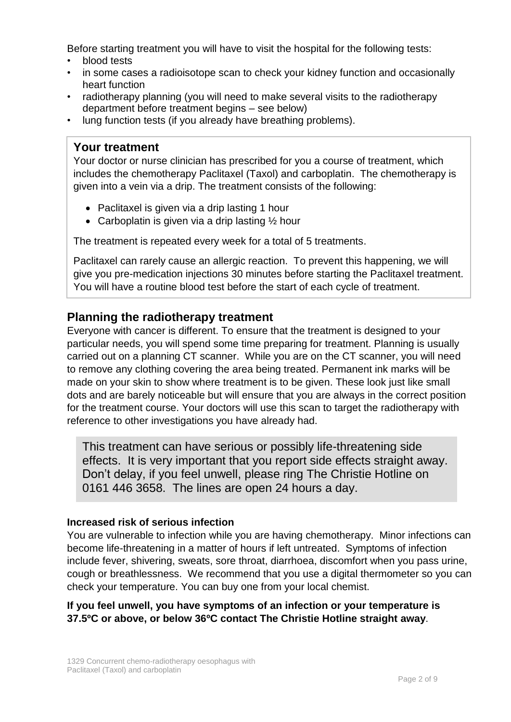Before starting treatment you will have to visit the hospital for the following tests:

- blood tests
- in some cases a radioisotope scan to check your kidney function and occasionally heart function
- radiotherapy planning (you will need to make several visits to the radiotherapy department before treatment begins – see below)
- lung function tests (if you already have breathing problems).

## **Your treatment**

Your doctor or nurse clinician has prescribed for you a course of treatment, which includes the chemotherapy Paclitaxel (Taxol) and carboplatin. The chemotherapy is given into a vein via a drip. The treatment consists of the following:

- Paclitaxel is given via a drip lasting 1 hour
- Carboplatin is given via a drip lasting  $\frac{1}{2}$  hour

The treatment is repeated every week for a total of 5 treatments.

Paclitaxel can rarely cause an allergic reaction. To prevent this happening, we will give you pre-medication injections 30 minutes before starting the Paclitaxel treatment. You will have a routine blood test before the start of each cycle of treatment.

## **Planning the radiotherapy treatment**

Everyone with cancer is different. To ensure that the treatment is designed to your particular needs, you will spend some time preparing for treatment. Planning is usually carried out on a planning CT scanner. While you are on the CT scanner, you will need to remove any clothing covering the area being treated. Permanent ink marks will be made on your skin to show where treatment is to be given. These look just like small dots and are barely noticeable but will ensure that you are always in the correct position for the treatment course. Your doctors will use this scan to target the radiotherapy with reference to other investigations you have already had.

This treatment can have serious or possibly life-threatening side effects. It is very important that you report side effects straight away. Don't delay, if you feel unwell, please ring The Christie Hotline on 0161 446 3658. The lines are open 24 hours a day.

### **Increased risk of serious infection**

You are vulnerable to infection while you are having chemotherapy. Minor infections can become life-threatening in a matter of hours if left untreated. Symptoms of infection include fever, shivering, sweats, sore throat, diarrhoea, discomfort when you pass urine, cough or breathlessness. We recommend that you use a digital thermometer so you can check your temperature. You can buy one from your local chemist.

**If you feel unwell, you have symptoms of an infection or your temperature is 37.5ºC or above, or below 36ºC contact The Christie Hotline straight away**.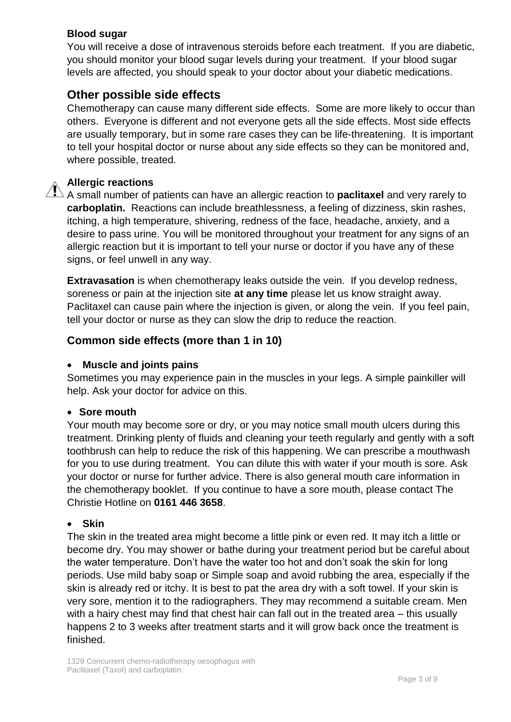## **Blood sugar**

You will receive a dose of intravenous steroids before each treatment. If you are diabetic, you should monitor your blood sugar levels during your treatment. If your blood sugar levels are affected, you should speak to your doctor about your diabetic medications.

## **Other possible side effects**

Chemotherapy can cause many different side effects. Some are more likely to occur than others. Everyone is different and not everyone gets all the side effects. Most side effects are usually temporary, but in some rare cases they can be life-threatening. It is important to tell your hospital doctor or nurse about any side effects so they can be monitored and, where possible, treated.

#### **Allergic reactions**

A small number of patients can have an allergic reaction to **paclitaxel** and very rarely to **carboplatin.** Reactions can include breathlessness, a feeling of dizziness, skin rashes, itching, a high temperature, shivering, redness of the face, headache, anxiety, and a desire to pass urine. You will be monitored throughout your treatment for any signs of an allergic reaction but it is important to tell your nurse or doctor if you have any of these signs, or feel unwell in any way.

**Extravasation** is when chemotherapy leaks outside the vein. If you develop redness, soreness or pain at the injection site **at any time** please let us know straight away. Paclitaxel can cause pain where the injection is given, or along the vein. If you feel pain, tell your doctor or nurse as they can slow the drip to reduce the reaction.

## **Common side effects (more than 1 in 10)**

#### **Muscle and joints pains**

Sometimes you may experience pain in the muscles in your legs. A simple painkiller will help. Ask your doctor for advice on this.

#### **Sore mouth**

Your mouth may become sore or dry, or you may notice small mouth ulcers during this treatment. Drinking plenty of fluids and cleaning your teeth regularly and gently with a soft toothbrush can help to reduce the risk of this happening. We can prescribe a mouthwash for you to use during treatment. You can dilute this with water if your mouth is sore. Ask your doctor or nurse for further advice. There is also general mouth care information in the chemotherapy booklet. If you continue to have a sore mouth, please contact The Christie Hotline on **0161 446 3658**.

#### **Skin**

The skin in the treated area might become a little pink or even red. It may itch a little or become dry. You may shower or bathe during your treatment period but be careful about the water temperature. Don't have the water too hot and don't soak the skin for long periods. Use mild baby soap or Simple soap and avoid rubbing the area, especially if the skin is already red or itchy. It is best to pat the area dry with a soft towel. If your skin is very sore, mention it to the radiographers. They may recommend a suitable cream. Men with a hairy chest may find that chest hair can fall out in the treated area – this usually happens 2 to 3 weeks after treatment starts and it will grow back once the treatment is finished.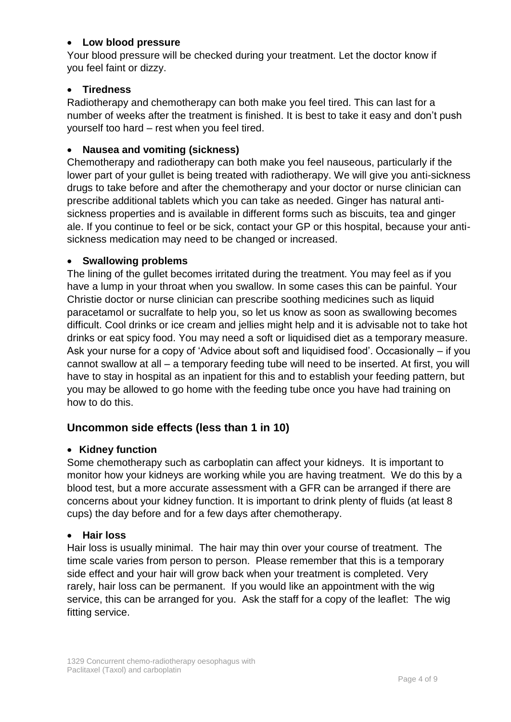### **Low blood pressure**

Your blood pressure will be checked during your treatment. Let the doctor know if you feel faint or dizzy.

## **Tiredness**

Radiotherapy and chemotherapy can both make you feel tired. This can last for a number of weeks after the treatment is finished. It is best to take it easy and don't push yourself too hard – rest when you feel tired.

## **Nausea and vomiting (sickness)**

Chemotherapy and radiotherapy can both make you feel nauseous, particularly if the lower part of your gullet is being treated with radiotherapy. We will give you anti-sickness drugs to take before and after the chemotherapy and your doctor or nurse clinician can prescribe additional tablets which you can take as needed. Ginger has natural antisickness properties and is available in different forms such as biscuits, tea and ginger ale. If you continue to feel or be sick, contact your GP or this hospital, because your antisickness medication may need to be changed or increased.

### **Swallowing problems**

The lining of the gullet becomes irritated during the treatment. You may feel as if you have a lump in your throat when you swallow. In some cases this can be painful. Your Christie doctor or nurse clinician can prescribe soothing medicines such as liquid paracetamol or sucralfate to help you, so let us know as soon as swallowing becomes difficult. Cool drinks or ice cream and jellies might help and it is advisable not to take hot drinks or eat spicy food. You may need a soft or liquidised diet as a temporary measure. Ask your nurse for a copy of 'Advice about soft and liquidised food'. Occasionally – if you cannot swallow at all – a temporary feeding tube will need to be inserted. At first, you will have to stay in hospital as an inpatient for this and to establish your feeding pattern, but you may be allowed to go home with the feeding tube once you have had training on how to do this.

## **Uncommon side effects (less than 1 in 10)**

### **Kidney function**

Some chemotherapy such as carboplatin can affect your kidneys. It is important to monitor how your kidneys are working while you are having treatment. We do this by a blood test, but a more accurate assessment with a GFR can be arranged if there are concerns about your kidney function. It is important to drink plenty of fluids (at least 8 cups) the day before and for a few days after chemotherapy.

### **Hair loss**

Hair loss is usually minimal. The hair may thin over your course of treatment. The time scale varies from person to person. Please remember that this is a temporary side effect and your hair will grow back when your treatment is completed. Very rarely, hair loss can be permanent. If you would like an appointment with the wig service, this can be arranged for you. Ask the staff for a copy of the leaflet: The wig fitting service.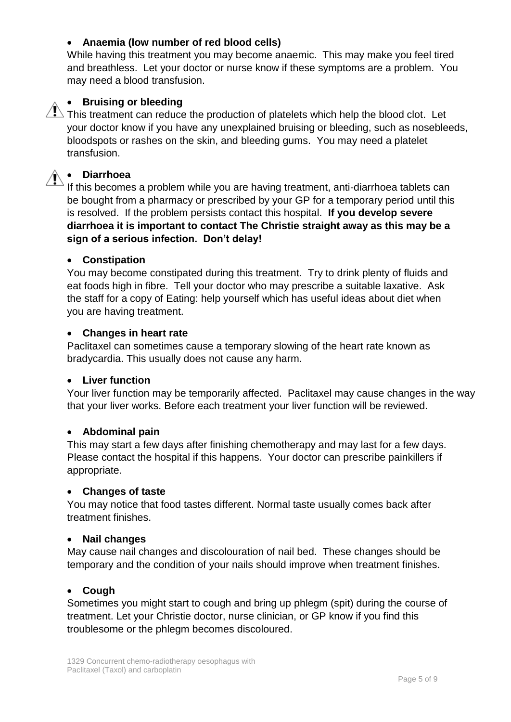## **Anaemia (low number of red blood cells)**

While having this treatment you may become anaemic. This may make you feel tired and breathless. Let your doctor or nurse know if these symptoms are a problem. You may need a blood transfusion.

## **•** Bruising or bleeding

 $\sum$  This treatment can reduce the production of platelets which help the blood clot. Let your doctor know if you have any unexplained bruising or bleeding, such as nosebleeds, bloodspots or rashes on the skin, and bleeding gums. You may need a platelet transfusion.

## **Diarrhoea**

If this becomes a problem while you are having treatment, anti-diarrhoea tablets can be bought from a pharmacy or prescribed by your GP for a temporary period until this is resolved. If the problem persists contact this hospital. **If you develop severe diarrhoea it is important to contact The Christie straight away as this may be a sign of a serious infection. Don't delay!**

#### **Constipation**

You may become constipated during this treatment. Try to drink plenty of fluids and eat foods high in fibre. Tell your doctor who may prescribe a suitable laxative. Ask the staff for a copy of Eating: help yourself which has useful ideas about diet when you are having treatment.

#### **Changes in heart rate**

Paclitaxel can sometimes cause a temporary slowing of the heart rate known as bradycardia. This usually does not cause any harm.

#### **Liver function**

Your liver function may be temporarily affected. Paclitaxel may cause changes in the way that your liver works. Before each treatment your liver function will be reviewed.

### **Abdominal pain**

This may start a few days after finishing chemotherapy and may last for a few days. Please contact the hospital if this happens. Your doctor can prescribe painkillers if appropriate.

#### **Changes of taste**

You may notice that food tastes different. Normal taste usually comes back after treatment finishes.

#### **Nail changes**

May cause nail changes and discolouration of nail bed. These changes should be temporary and the condition of your nails should improve when treatment finishes.

### **Cough**

Sometimes you might start to cough and bring up phlegm (spit) during the course of treatment. Let your Christie doctor, nurse clinician, or GP know if you find this troublesome or the phlegm becomes discoloured.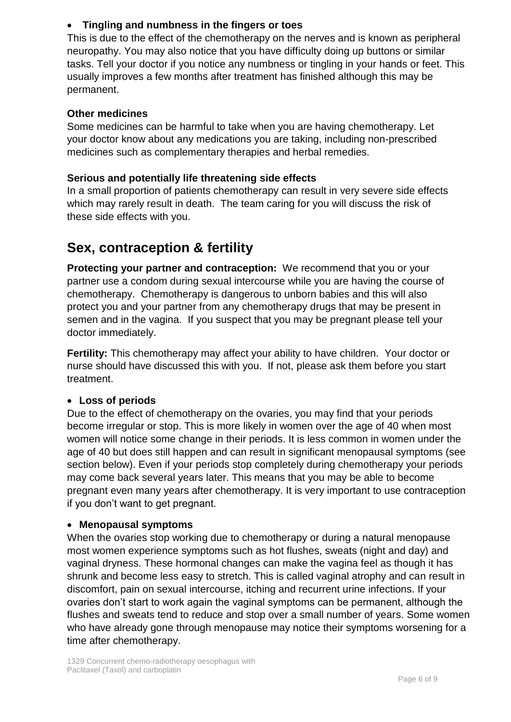## **Tingling and numbness in the fingers or toes**

This is due to the effect of the chemotherapy on the nerves and is known as peripheral neuropathy. You may also notice that you have difficulty doing up buttons or similar tasks. Tell your doctor if you notice any numbness or tingling in your hands or feet. This usually improves a few months after treatment has finished although this may be permanent.

### **Other medicines**

Some medicines can be harmful to take when you are having chemotherapy. Let your doctor know about any medications you are taking, including non-prescribed medicines such as complementary therapies and herbal remedies.

#### **Serious and potentially life threatening side effects**

In a small proportion of patients chemotherapy can result in very severe side effects which may rarely result in death. The team caring for you will discuss the risk of these side effects with you.

## **Sex, contraception & fertility**

**Protecting your partner and contraception:** We recommend that you or your partner use a condom during sexual intercourse while you are having the course of chemotherapy. Chemotherapy is dangerous to unborn babies and this will also protect you and your partner from any chemotherapy drugs that may be present in semen and in the vagina. If you suspect that you may be pregnant please tell your doctor immediately.

**Fertility:** This chemotherapy may affect your ability to have children. Your doctor or nurse should have discussed this with you. If not, please ask them before you start treatment.

### **Loss of periods**

Due to the effect of chemotherapy on the ovaries, you may find that your periods become irregular or stop. This is more likely in women over the age of 40 when most women will notice some change in their periods. It is less common in women under the age of 40 but does still happen and can result in significant menopausal symptoms (see section below). Even if your periods stop completely during chemotherapy your periods may come back several years later. This means that you may be able to become pregnant even many years after chemotherapy. It is very important to use contraception if you don't want to get pregnant.

#### **Menopausal symptoms**

When the ovaries stop working due to chemotherapy or during a natural menopause most women experience symptoms such as hot flushes, sweats (night and day) and vaginal dryness. These hormonal changes can make the vagina feel as though it has shrunk and become less easy to stretch. This is called vaginal atrophy and can result in discomfort, pain on sexual intercourse, itching and recurrent urine infections. If your ovaries don't start to work again the vaginal symptoms can be permanent, although the flushes and sweats tend to reduce and stop over a small number of years. Some women who have already gone through menopause may notice their symptoms worsening for a time after chemotherapy.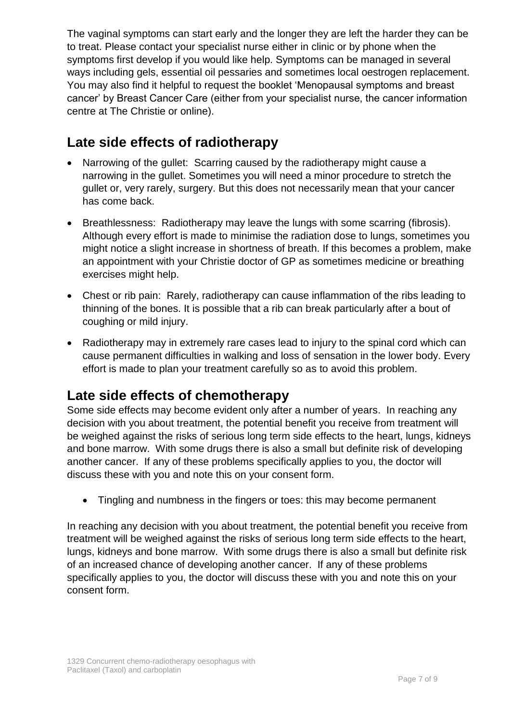The vaginal symptoms can start early and the longer they are left the harder they can be to treat. Please contact your specialist nurse either in clinic or by phone when the symptoms first develop if you would like help. Symptoms can be managed in several ways including gels, essential oil pessaries and sometimes local oestrogen replacement. You may also find it helpful to request the booklet 'Menopausal symptoms and breast cancer' by Breast Cancer Care (either from your specialist nurse, the cancer information centre at The Christie or online).

## **Late side effects of radiotherapy**

- Narrowing of the gullet: Scarring caused by the radiotherapy might cause a narrowing in the gullet. Sometimes you will need a minor procedure to stretch the gullet or, very rarely, surgery. But this does not necessarily mean that your cancer has come back.
- Breathlessness: Radiotherapy may leave the lungs with some scarring (fibrosis). Although every effort is made to minimise the radiation dose to lungs, sometimes you might notice a slight increase in shortness of breath. If this becomes a problem, make an appointment with your Christie doctor of GP as sometimes medicine or breathing exercises might help.
- Chest or rib pain: Rarely, radiotherapy can cause inflammation of the ribs leading to thinning of the bones. It is possible that a rib can break particularly after a bout of coughing or mild injury.
- Radiotherapy may in extremely rare cases lead to injury to the spinal cord which can cause permanent difficulties in walking and loss of sensation in the lower body. Every effort is made to plan your treatment carefully so as to avoid this problem.

## **Late side effects of chemotherapy**

Some side effects may become evident only after a number of years. In reaching any decision with you about treatment, the potential benefit you receive from treatment will be weighed against the risks of serious long term side effects to the heart, lungs, kidneys and bone marrow. With some drugs there is also a small but definite risk of developing another cancer. If any of these problems specifically applies to you, the doctor will discuss these with you and note this on your consent form.

Tingling and numbness in the fingers or toes: this may become permanent

In reaching any decision with you about treatment, the potential benefit you receive from treatment will be weighed against the risks of serious long term side effects to the heart, lungs, kidneys and bone marrow. With some drugs there is also a small but definite risk of an increased chance of developing another cancer. If any of these problems specifically applies to you, the doctor will discuss these with you and note this on your consent form.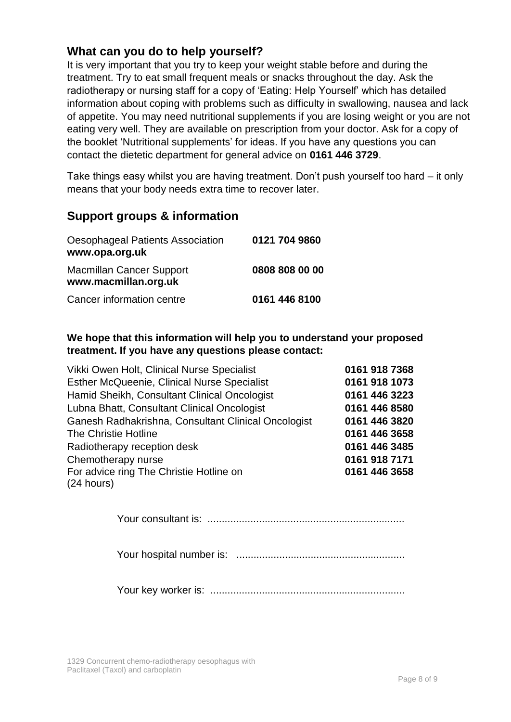## **What can you do to help yourself?**

It is very important that you try to keep your weight stable before and during the treatment. Try to eat small frequent meals or snacks throughout the day. Ask the radiotherapy or nursing staff for a copy of 'Eating: Help Yourself' which has detailed information about coping with problems such as difficulty in swallowing, nausea and lack of appetite. You may need nutritional supplements if you are losing weight or you are not eating very well. They are available on prescription from your doctor. Ask for a copy of the booklet 'Nutritional supplements' for ideas. If you have any questions you can contact the dietetic department for general advice on **0161 446 3729**.

Take things easy whilst you are having treatment. Don't push yourself too hard – it only means that your body needs extra time to recover later.

## **Support groups & information**

| Oesophageal Patients Association<br>www.opa.org.uk      | 0121 704 9860  |
|---------------------------------------------------------|----------------|
| <b>Macmillan Cancer Support</b><br>www.macmillan.org.uk | 0808 808 00 00 |
| Cancer information centre                               | 0161 446 8100  |

**We hope that this information will help you to understand your proposed treatment. If you have any questions please contact:** 

| Vikki Owen Holt, Clinical Nurse Specialist          | 0161 918 7368 |
|-----------------------------------------------------|---------------|
| Esther McQueenie, Clinical Nurse Specialist         | 0161 918 1073 |
| Hamid Sheikh, Consultant Clinical Oncologist        | 0161 446 3223 |
| Lubna Bhatt, Consultant Clinical Oncologist         | 0161 446 8580 |
| Ganesh Radhakrishna, Consultant Clinical Oncologist | 0161 446 3820 |
| The Christie Hotline                                | 0161 446 3658 |
| Radiotherapy reception desk                         | 0161 446 3485 |
| Chemotherapy nurse                                  | 0161 918 7171 |
| For advice ring The Christie Hotline on             | 0161 446 3658 |
| (24 hours)                                          |               |

Your consultant is: .....................................................................

Your hospital number is: ...........................................................

Your key worker is: ....................................................................